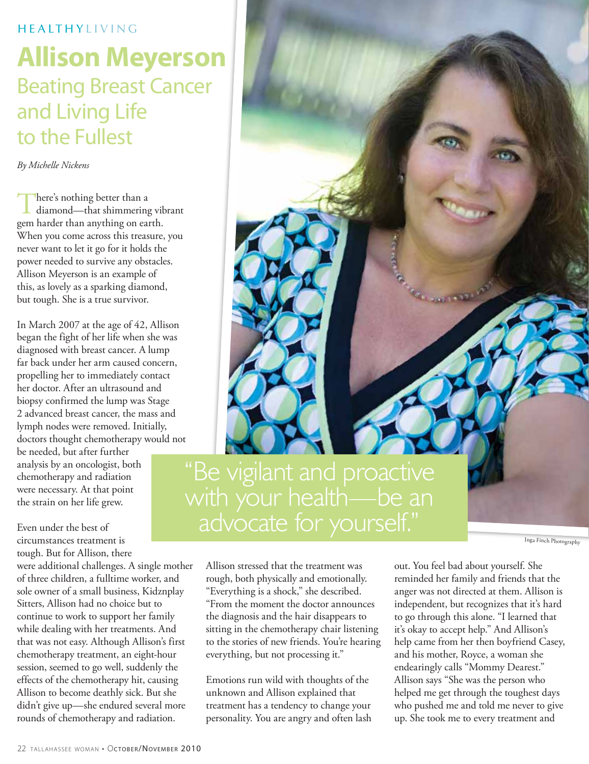### **HEALTHYLIVING**

# **Allison Meyerson** Beating Breast Cancer and Living Life to the Fullest

*By Michelle Nickens*

There's nothing better than a<br>diamond—that shimmering vibrant gem harder than anything on earth. When you come across this treasure, you never want to let it go for it holds the power needed to survive any obstacles. Allison Meyerson is an example of this, as lovely as a sparking diamond, but tough. She is a true survivor.

In March 2007 at the age of 42, Allison began the fight of her life when she was diagnosed with breast cancer. A lump far back under her arm caused concern, propelling her to immediately contact her doctor. After an ultrasound and biopsy confirmed the lump was Stage 2 advanced breast cancer, the mass and lymph nodes were removed. Initially, doctors thought chemotherapy would not

be needed, but after further analysis by an oncologist, both chemotherapy and radiation were necessary. At that point the strain on her life grew.

Even under the best of circumstances treatment is tough. But for Allison, there

were additional challenges. A single mother of three children, a fulltime worker, and sole owner of a small business, Kidznplay Sitters, Allison had no choice but to continue to work to support her family while dealing with her treatments. And that was not easy. Although Allison's first chemotherapy treatment, an eight-hour session, seemed to go well, suddenly the effects of the chemotherapy hit, causing Allison to become deathly sick. But she didn't give up—she endured several more rounds of chemotherapy and radiation.

"Be vigilant and proactive with your health—be an advocate for yourself."

Inga Finch Photography

Allison stressed that the treatment was rough, both physically and emotionally. "Everything is a shock," she described. "From the moment the doctor announces the diagnosis and the hair disappears to sitting in the chemotherapy chair listening to the stories of new friends. You're hearing everything, but not processing it."

Emotions run wild with thoughts of the unknown and Allison explained that treatment has a tendency to change your personality. You are angry and often lash

out. You feel bad about yourself. She reminded her family and friends that the anger was not directed at them. Allison is independent, but recognizes that it's hard to go through this alone. "I learned that it's okay to accept help." And Allison's help came from her then boyfriend Casey, and his mother, Royce, a woman she endearingly calls "Mommy Dearest." Allison says "She was the person who helped me get through the toughest days who pushed me and told me never to give up. She took me to every treatment and